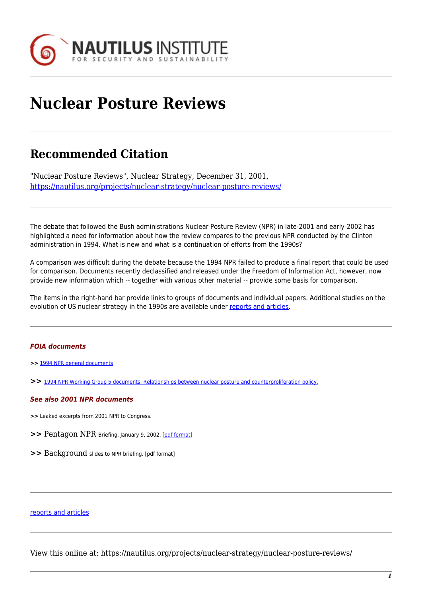

# **Nuclear Posture Reviews**

## **Recommended Citation**

"Nuclear Posture Reviews", Nuclear Strategy, December 31, 2001, <https://nautilus.org/projects/nuclear-strategy/nuclear-posture-reviews/>

The debate that followed the Bush administrations Nuclear Posture Review (NPR) in late-2001 and early-2002 has highlighted a need for information about how the review compares to the previous NPR conducted by the Clinton administration in 1994. What is new and what is a continuation of efforts from the 1990s?

A comparison was difficult during the debate because the 1994 NPR failed to produce a final report that could be used for comparison. Documents recently declassified and released under the Freedom of Information Act, however, now provide new information which -- together with various other material -- provide some basis for comparison.

The items in the right-hand bar provide links to groups of documents and individual papers. Additional studies on the evolution of US nuclear strategy in the 1990s are available under [reports and articles](https://nautilus.org/?page_id=44278&preview=true).

### *FOIA documents*

- **>>** [1994 NPR general documents](https://nautilus.org/?p=44323&preview=true)
- **>>** [1994 NPR Working Group 5 documents: Relationships between nuclear posture and counterproliferation policy.](https://nautilus.org/?p=44347&preview=true)

#### *See also 2001 NPR documents*

- **>>** Leaked excerpts from 2001 NPR to Congress.
- **>>** Pentagon NPR Briefing, January 9, 2002. [\[pdf format\]](https://nautilus.org/wp-content/uploads/2015/07/nprbrief010902.pdf)
- **>>** Background slides to NPR briefing. [pdf format]

### [reports and articles](https://nautilus.org/?page_id=44278&preview=true)

View this online at: https://nautilus.org/projects/nuclear-strategy/nuclear-posture-reviews/